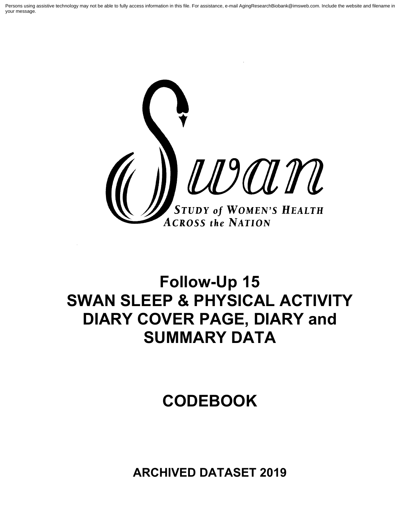Persons using assistive technology may not be able to fully access information in this file. For assistance, e-mail AgingResearchBiobank@imsweb.com. Include the website and filename in your message.



## **Follow-Up 15 SWAN SLEEP & PHYSICAL ACTIVITY DIARY COVER PAGE, DIARY and SUMMARY DATA**

## **CODEBOOK**

**ARCHIVED DATASET 2019**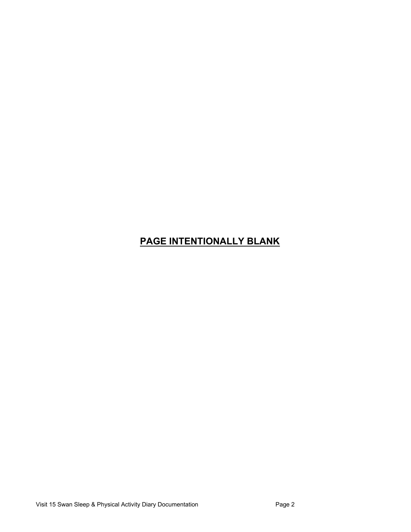## **PAGE INTENTIONALLY BLANK**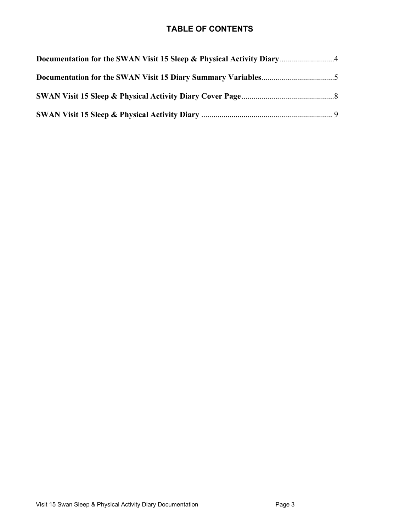### **TABLE OF CONTENTS**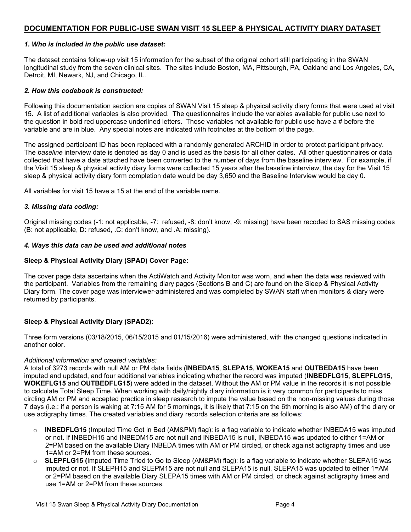#### **DOCUMENTATION FOR PUBLIC-USE SWAN VISIT 15 SLEEP & PHYSICAL ACTIVITY DIARY DATASET**

#### *1. Who is included in the public use dataset:*

The dataset contains follow-up visit 15 information for the subset of the original cohort still participating in the SWAN longitudinal study from the seven clinical sites. The sites include Boston, MA, Pittsburgh, PA, Oakland and Los Angeles, CA, Detroit, MI, Newark, NJ, and Chicago, IL.

#### *2. How this codebook is constructed:*

Following this documentation section are copies of SWAN Visit 15 sleep & physical activity diary forms that were used at visit 15. A list of additional variables is also provided. The questionnaires include the variables available for public use next to the question in bold red uppercase underlined letters. Those variables not available for public use have a # before the variable and are in blue. Any special notes are indicated with footnotes at the bottom of the page.

The assigned participant ID has been replaced with a randomly generated ARCHID in order to protect participant privacy. The *baseline* interview date is denoted as day 0 and is used as the basis for all other dates. All other questionnaires or data collected that have a date attached have been converted to the number of days from the baseline interview. For example, if the Visit 15 sleep & physical activity diary forms were collected 15 years after the baseline interview, the day for the Visit 15 sleep & physical activity diary form completion date would be day 3,650 and the Baseline Interview would be day 0.

All variables for visit 15 have a 15 at the end of the variable name.

#### *3. Missing data coding:*

Original missing codes (-1: not applicable, -7: refused, -8: don't know, -9: missing) have been recoded to SAS missing codes (B: not applicable, D: refused, .C: don't know, and .A: missing).

#### *4. Ways this data can be used and additional notes*

#### **Sleep & Physical Activity Diary (SPAD) Cover Page:**

The cover page data ascertains when the ActiWatch and Activity Monitor was worn, and when the data was reviewed with the participant. Variables from the remaining diary pages (Sections B and C) are found on the Sleep & Physical Activity Diary form. The cover page was interviewer-administered and was completed by SWAN staff when monitors & diary were returned by participants.

#### **Sleep & Physical Activity Diary (SPAD2):**

Three form versions (03/18/2015, 06/15/2015 and 01/15/2016) were administered, with the changed questions indicated in another color.

#### *Additional information and created variables:*

A total of 3273 records with null AM or PM data fields (**INBEDA15**, **SLEPA15**, **WOKEA15** and **OUTBEDA15** have been imputed and updated, and four additional variables indicating whether the record was imputed (**INBEDFLG15**, **SLEPFLG15**, **WOKEFLG15** and **OUTBEDFLG15**) were added in the dataset. Without the AM or PM value in the records it is not possible to calculate Total Sleep Time. When working with daily/nightly diary information is it very common for participants to miss circling AM or PM and accepted practice in sleep research to impute the value based on the non-missing values during those 7 days (i.e.: if a person is waking at 7:15 AM for 5 mornings, it is likely that 7:15 on the 6th morning is also AM) of the diary or use actigraphy times. The created variables and diary records selection criteria are as follows:

- o **INBEDFLG15** (Imputed Time Got in Bed (AM&PM) flag): is a flag variable to indicate whether INBEDA15 was imputed or not. If INBEDH15 and INBEDM15 are not null and INBEDA15 is null, INBEDA15 was updated to either 1=AM or 2=PM based on the available Diary INBEDA times with AM or PM circled, or check against actigraphy times and use 1=AM or 2=PM from these sources.
- **SLEPFLG15 (Imputed Time Tried to Go to Sleep (AM&PM) flag): is a flag variable to indicate whether SLEPA15 was** imputed or not. If SLEPH15 and SLEPM15 are not null and SLEPA15 is null, SLEPA15 was updated to either 1=AM or 2=PM based on the available Diary SLEPA15 times with AM or PM circled, or check against actigraphy times and use 1=AM or 2=PM from these sources.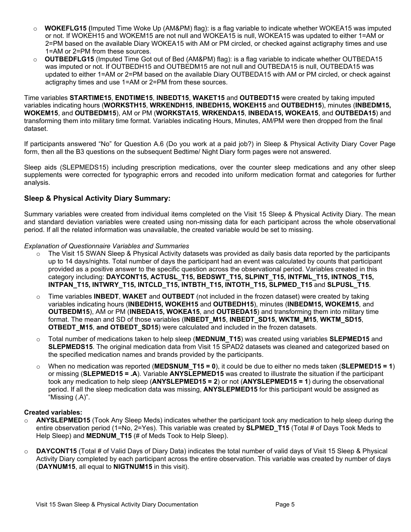- o **WOKEFLG15 (**Imputed Time Woke Up (AM&PM) flag): is a flag variable to indicate whether WOKEA15 was imputed or not. If WOKEH15 and WOKEM15 are not null and WOKEA15 is null, WOKEA15 was updated to either 1=AM or 2=PM based on the available Diary WOKEA15 with AM or PM circled, or checked against actigraphy times and use 1=AM or 2=PM from these sources.
- o **OUTBEDFLG15** (Imputed Time Got out of Bed (AM&PM) flag): is a flag variable to indicate whether OUTBEDA15 was imputed or not. If OUTBEDH15 and OUTBEDM15 are not null and OUTBEDA15 is null, OUTBEDA15 was updated to either 1=AM or 2=PM based on the available Diary OUTBEDA15 with AM or PM circled, or check against actigraphy times and use 1=AM or 2=PM from these sources.

Time variables **STARTIME15**, **ENDTIME15**, **INBEDT15**, **WAKET15** and **OUTBEDT15** were created by taking imputed variables indicating hours (**WORKSTH15**, **WRKENDH15**, **INBEDH15, WOKEH15** and **OUTBEDH15**), minutes (**INBEDM15, WOKEM15**, and **OUTBEDM15**), AM or PM (**WORKSTA15**, **WRKENDA15**, **INBEDA15, WOKEA15**, and **OUTBEDA15**) and transforming them into military time format. Variables indicating Hours, Minutes, AM/PM were then dropped from the final dataset.

If participants answered "No" for Question A.6 (Do you work at a paid job?) in Sleep & Physical Activity Diary Cover Page form, then all the B3 questions on the subsequent Bedtime/ Night Diary form pages were not answered.

Sleep aids (SLEPMEDS15) including prescription medications, over the counter sleep medications and any other sleep supplements were corrected for typographic errors and recoded into uniform medication format and categories for further analysis.

#### **Sleep & Physical Activity Diary Summary:**

Summary variables were created from individual items completed on the Visit 15 Sleep & Physical Activity Diary. The mean and standard deviation variables were created using non-missing data for each participant across the whole observational period. If all the related information was unavailable, the created variable would be set to missing.

#### *Explanation of Questionnaire Variables and Summaries*

- $\circ$  The Visit 15 SWAN Sleep & Physical Activity datasets was provided as daily basis data reported by the participants up to 14 days/nights. Total number of days the participant had an event was calculated by counts that participant provided as a positive answer to the specific question across the observational period. Variables created in this category including: **DAYCONT15, ACTUSL\_T15, BEDSWT\_T15, SLPINT\_T15, INTFML\_T15, INTNOS\_T15, INTPAN\_T15, INTWRY\_T15, INTCLD\_T15, INTBTH\_T15, INTOTH\_T15, SLPMED\_T15** and **SLPUSL\_T15**.
- o Time variables **INBEDT**, **WAKET** and **OUTBEDT** (not included in the frozen dataset) were created by taking variables indicating hours (**INBEDH15, WOKEH15** and **OUTBEDH15**), minutes (**INBEDM15, WOKEM15**, and **OUTBEDM15**), AM or PM (**INBEDA15, WOKEA15**, and **OUTBEDA15**) and transforming them into military time format. The mean and SD of those variables (**INBEDT\_M15**, **INBEDT\_SD15**, **WKTM\_M15**, **WKTM\_SD15**, **OTBEDT\_M15**, **and OTBEDT\_SD15**) were calculated and included in the frozen datasets.
- o Total number of medications taken to help sleep (**MEDNUM\_T15**) was created using variables **SLEPMED15** and **SLEPMEDS15**. The original medication data from Visit 15 SPAD2 datasets was cleaned and categorized based on the specified medication names and brands provided by the participants.
- o When no medication was reported (**MEDSNUM\_T15 = 0**), it could be due to either no meds taken (**SLEPMED15 = 1**) or missing (**SLEPMED15 = .A**). Variable **ANYSLEPMED15** was created to illustrate the situation if the participant took any medication to help sleep (**ANYSLEPMED15 = 2**) or not (**ANYSLEPMED15 = 1**) during the observational period. If all the sleep medication data was missing, **ANYSLEPMED15** for this participant would be assigned as "Missing (.A)".

#### **Created variables:**

- o **ANYSLEPMED15** (Took Any Sleep Meds) indicates whether the participant took any medication to help sleep during the entire observation period (1=No, 2=Yes). This variable was created by **SLPMED\_T15** (Total # of Days Took Meds to Help Sleep) and **MEDNUM\_T15** (# of Meds Took to Help Sleep).
- o **DAYCONT15** (Total # of Valid Days of Diary Data) indicates the total number of valid days of Visit 15 Sleep & Physical Activity Diary completed by each participant across the entire observation. This variable was created by number of days (**DAYNUM15**, all equal to **NIGTNUM15** in this visit).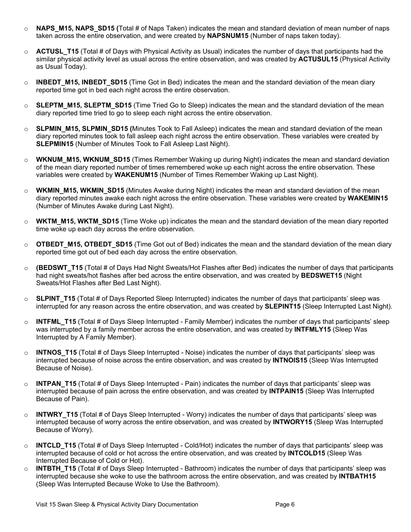- o **NAPS\_M15, NAPS\_SD15 (**Total # of Naps Taken) indicates the mean and standard deviation of mean number of naps taken across the entire observation, and were created by **NAPSNUM15** (Number of naps taken today).
- o **ACTUSL\_T15** (Total # of Days with Physical Activity as Usual) indicates the number of days that participants had the similar physical activity level as usual across the entire observation, and was created by **ACTUSUL15** (Physical Activity as Usual Today).
- o **INBEDT\_M15, INBEDT\_SD15** (Time Got in Bed) indicates the mean and the standard deviation of the mean diary reported time got in bed each night across the entire observation.
- o **SLEPTM\_M15, SLEPTM\_SD15** (Time Tried Go to Sleep) indicates the mean and the standard deviation of the mean diary reported time tried to go to sleep each night across the entire observation.
- o **SLPMIN\_M15, SLPMIN\_SD15 (**Minutes Took to Fall Asleep) indicates the mean and standard deviation of the mean diary reported minutes took to fall asleep each night across the entire observation. These variables were created by **SLEPMIN15** (Number of Minutes Took to Fall Asleep Last Night).
- o **WKNUM\_M15, WKNUM\_SD15** (Times Remember Waking up during Night) indicates the mean and standard deviation of the mean diary reported number of times remembered woke up each night across the entire observation. These variables were created by **WAKENUM15** (Number of Times Remember Waking up Last Night).
- o **WKMIN\_M15, WKMIN\_SD15** (Minutes Awake during Night) indicates the mean and standard deviation of the mean diary reported minutes awake each night across the entire observation. These variables were created by **WAKEMIN15**  (Number of Minutes Awake during Last Night).
- o **WKTM\_M15, WKTM\_SD15** (Time Woke up) indicates the mean and the standard deviation of the mean diary reported time woke up each day across the entire observation.
- o **OTBEDT M15, OTBEDT SD15** (Time Got out of Bed) indicates the mean and the standard deviation of the mean diary reported time got out of bed each day across the entire observation.
- o **(BEDSWT\_T15** (Total # of Days Had Night Sweats/Hot Flashes after Bed) indicates the number of days that participants had night sweats/hot flashes after bed across the entire observation, and was created by **BEDSWET15** (Night Sweats/Hot Flashes after Bed Last Night).
- o **SLPINT\_T15** (Total # of Days Reported Sleep Interrupted) indicates the number of days that participants' sleep was interrupted for any reason across the entire observation, and was created by **SLEPINT15** (Sleep Interrupted Last Night).
- o **INTFML\_T15** (Total # of Days Sleep Interrupted Family Member) indicates the number of days that participants' sleep was interrupted by a family member across the entire observation, and was created by **INTFMLY15** (Sleep Was Interrupted by A Family Member).
- $\circ$  **INTNOS T15** (Total # of Days Sleep Interrupted Noise) indicates the number of days that participants' sleep was interrupted because of noise across the entire observation, and was created by **INTNOIS15** (Sleep Was Interrupted Because of Noise).
- $\circ$  **INTPAN T15** (Total # of Days Sleep Interrupted Pain) indicates the number of days that participants' sleep was interrupted because of pain across the entire observation, and was created by **INTPAIN15** (Sleep Was Interrupted Because of Pain).
- **INTWRY T15** (Total # of Days Sleep Interrupted Worry) indicates the number of days that participants' sleep was interrupted because of worry across the entire observation, and was created by **INTWORY15** (Sleep Was Interrupted Because of Worry).
- o **INTCLD\_T15** (Total # of Days Sleep Interrupted Cold/Hot) indicates the number of days that participants' sleep was interrupted because of cold or hot across the entire observation, and was created by **INTCOLD15** (Sleep Was Interrupted Because of Cold or Hot).
- o **INTBTH\_T15** (Total # of Days Sleep Interrupted Bathroom) indicates the number of days that participants' sleep was interrupted because she woke to use the bathroom across the entire observation, and was created by **INTBATH15** (Sleep Was Interrupted Because Woke to Use the Bathroom).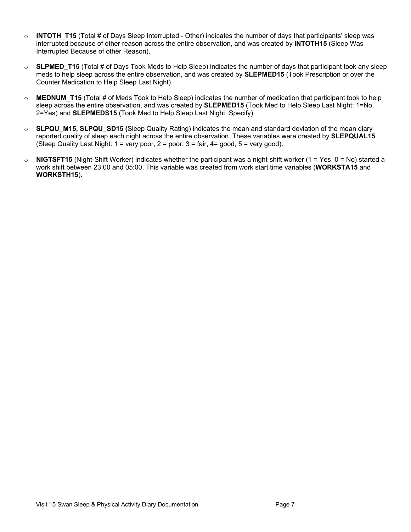- $\circ$  **INTOTH T15** (Total # of Days Sleep Interrupted Other) indicates the number of days that participants' sleep was interrupted because of other reason across the entire observation, and was created by **INTOTH15** (Sleep Was Interrupted Because of other Reason).
- o **SLPMED\_T15** (Total # of Days Took Meds to Help Sleep) indicates the number of days that participant took any sleep meds to help sleep across the entire observation, and was created by **SLEPMED15** (Took Prescription or over the Counter Medication to Help Sleep Last Night).
- o **MEDNUM\_T15** (Total # of Meds Took to Help Sleep) indicates the number of medication that participant took to help sleep across the entire observation, and was created by **SLEPMED15** (Took Med to Help Sleep Last Night: 1=No, 2=Yes) and **SLEPMEDS15** (Took Med to Help Sleep Last Night: Specify).
- o **SLPQU\_M15, SLPQU\_SD15 (**Sleep Quality Rating) indicates the mean and standard deviation of the mean diary reported quality of sleep each night across the entire observation. These variables were created by **SLEPQUAL15** (Sleep Quality Last Night:  $1 =$  very poor,  $2 =$  poor,  $3 =$  fair,  $4 =$  good,  $5 =$  very good).
- $\circ$  **NIGTSFT15** (Night-Shift Worker) indicates whether the participant was a night-shift worker (1 = Yes, 0 = No) started a work shift between 23:00 and 05:00. This variable was created from work start time variables (**WORKSTA15** and **WORKSTH15**).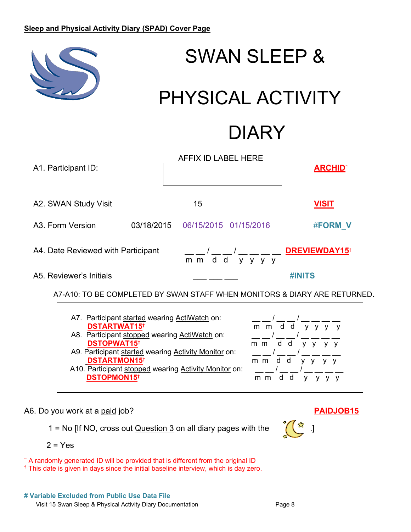

# SWAN SLEEP & PHYSICAL ACTIVITY DIARY

| A1. Participant ID:                                                                                                                                                                                                                                                                                                                                                                                                                                                                                                                                                                                                                                                                                                                                                                                                                                                                                   | AFFIX ID LABEL HERE                                                                                                                     | <b>ARCHID<sup>~</sup></b> |  |  |  |  |
|-------------------------------------------------------------------------------------------------------------------------------------------------------------------------------------------------------------------------------------------------------------------------------------------------------------------------------------------------------------------------------------------------------------------------------------------------------------------------------------------------------------------------------------------------------------------------------------------------------------------------------------------------------------------------------------------------------------------------------------------------------------------------------------------------------------------------------------------------------------------------------------------------------|-----------------------------------------------------------------------------------------------------------------------------------------|---------------------------|--|--|--|--|
| A2. SWAN Study Visit<br>A3. Form Version                                                                                                                                                                                                                                                                                                                                                                                                                                                                                                                                                                                                                                                                                                                                                                                                                                                              | 15<br>03/18/2015   06/15/2015   01/15/2016                                                                                              | <u>VISIT</u><br>#FORM_V   |  |  |  |  |
| A4. Date Reviewed with Participant                                                                                                                                                                                                                                                                                                                                                                                                                                                                                                                                                                                                                                                                                                                                                                                                                                                                    | $\frac{1}{m} \frac{1}{m} \frac{1}{d} \frac{1}{d} \frac{1}{d} \frac{1}{y} \frac{1}{y} \frac{1}{y} \frac{1}{y}$ DREVIEWDAY15 <sup>+</sup> |                           |  |  |  |  |
| A5. Reviewer's Initials<br>A7-A10: TO BE COMPLETED BY SWAN STAFF WHEN MONITORS & DIARY ARE RETURNED.                                                                                                                                                                                                                                                                                                                                                                                                                                                                                                                                                                                                                                                                                                                                                                                                  |                                                                                                                                         | <b>#INITS</b>             |  |  |  |  |
| A7. Participant started wearing ActiWatch on:<br><b>DSTARTWAT15<sup>t</sup></b><br>A8. Participant stopped wearing ActiWatch on:<br>$\frac{1}{m} \frac{1}{m} \frac{1}{d} \frac{1}{d} \frac{1}{d} \frac{1}{y} \frac{1}{y} \frac{1}{y} \frac{1}{y}$<br><b>DSTOPWAT15t</b><br>A9. Participant started wearing Activity Monitor on:<br>$\frac{1}{\text{m m}} \frac{1}{\text{m d d}} \frac{1}{\text{d d}} \frac{1}{\text{d d}} \frac{1}{\text{d d}} \frac{1}{\text{d d}} \frac{1}{\text{d d}} \frac{1}{\text{d d}} \frac{1}{\text{d d}} \frac{1}{\text{d d}} \frac{1}{\text{d d}} \frac{1}{\text{d d}} \frac{1}{\text{d d}} \frac{1}{\text{d d}} \frac{1}{\text{d d}} \frac{1}{\text{d d}} \frac{1}{\text{d}} \frac{1}{\text{d}} \frac{1}{\text{d}} \frac{1}{\text{d}} \frac{$<br><b>DSTARTMON15<sup>t</sup></b><br>A10. Participant stopped wearing Activity Monitor on:<br><b>DSTOPMON15<sup>t</sup></b> |                                                                                                                                         |                           |  |  |  |  |
| $\overline{a}$ $\overline{b}$ . $\overline{a}$ . $\overline{a}$ . $\overline{a}$ . $\overline{a}$ . $\overline{a}$ . $\overline{a}$ . $\overline{a}$ . $\overline{a}$ . $\overline{a}$ . $\overline{a}$ . $\overline{a}$ . $\overline{a}$ . $\overline{a}$ . $\overline{a}$ . $\overline{a}$ . $\overline{a}$ . $\overline{a}$ . $\overline{a}$ . $\over$                                                                                                                                                                                                                                                                                                                                                                                                                                                                                                                                             |                                                                                                                                         | <b>DAIRIADJE</b>          |  |  |  |  |

#### A6. Do you work at a paid job? **PAIDJOB15**

1 = No [If NO, cross out <u>Question 3</u> on all diary pages with the  $\left(\begin{matrix} \sqrt{2} & 1 \\ 1 & 1 \end{matrix}\right)$ 



 $2 = Yes$ 

. .

<sup>~</sup> A randomly generated ID will be provided that is different from the original ID **†** This date is given in days since the initial baseline interview, which is day zero.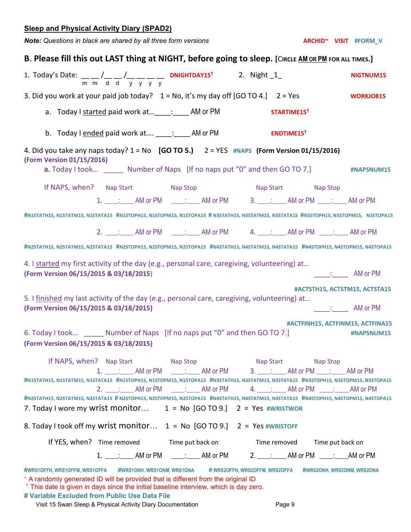#### **Sleep and Physical Activity Diary (SPAD2)**

## *Note:* **Questions in black are shared by all three form versions <b>ARCHID~ ARCHID~** VISIT #FORM\_V **B**. **Please fill this out LAST thing at NIGHT, before going to sleep. [**C**IRCLE AM OR PM FOR ALL TIMES.]** 1.Today's Date: \_\_ \_\_ /\_\_ \_\_ /\_\_ \_\_ \_\_ \_\_ **DNIGHTDAY15†** 2. Night \_1\_ **NIGTNUM15** m m d d y y y y 3. Did you work at your paid job today?  $1 = No$ , it's my day off [GO TO 4.]  $2 = Yes$  **WORKJOB15** a. Today I started paid work at…\_\_\_\_:\_\_\_\_ AM or PM **STARTIME15†** b. Today I ended paid work at…. \_\_\_\_:\_\_\_\_ AM or PM **ENDTIME15†** 4. Did you take any naps today? 1 = No **[GO TO 5.)** 2 = YES **#NAPS (Form Version 01/15/2016) (Form Version 01/15/2016) a.** Today I took... **Mumber of Naps** [If no naps put "0" and then GO TO 7.] **#NAPSNUM15**

If NAPS, when? Nap Start Nap Stop Nap Stop Nap Start Nap Stop

1. \_\_\_\_: \_\_\_\_ AM or PM \_\_\_\_\_: \_\_\_\_ AM or PM \_\_\_\_\_ \_\_\_\_ \_\_\_\_ \_\_\_\_ AM or PM \_\_\_\_\_\_ \_\_\_ \_\_ AM or PM

**#N1STATH15, N1STATM15, N1STATA15 #N1STOPH15, N1STOPM15, N1STOPA15 # N3STATH15, N3STATM15, N3STATA15 #N3STOPH15, N3STOPM15, N3STOPA15**

2.  $\vdots$  AM or PM  $\vdots$  AM or PM  $\vdots$  AM or PM  $\vdots$  AM or PM  $\vdots$  AM or PM

**#N2STATH15, N2STATM15, N2STATA15 #N2STOPH15, N2STOPM15, N2STOPA15 #N4STATH15, N4STATM15, N4STATA15 #N4STOPH15, N4STOPM15, N4STOPA15**

4. I started my first activity of the day (e.g., personal care, caregiving, volunteering) at… **(Form Version 06/15/2015 & 03/18/2015**) \_\_\_\_:\_\_\_\_ AM or PM

 **#ACTSTH15, ACTSTM15, ACTSTA15**

5. I finished my last activity of the day (e.g., personal care, caregiving, volunteering) at... **(Form Version 06/15/2015 & 03/18/2015)** \_\_\_\_:\_\_\_\_ AM or PM

 **#ACTFINH15, ACTFINM15, ACTFINA15**  6. Today I took… \_\_\_\_\_ Number of Naps [If no naps put "0" and then GO TO 7.] **#NAPSNUM15 (Form Version 06/15/2015 & 03/18/2015)**

If NAPS, when? Nap Start Nap Stop Nap Stop Nap Start Nap Stop 1. \_\_\_\_: \_\_\_\_ AM or PM \_\_\_\_\_: \_\_\_\_ AM or PM \_\_\_\_\_\_ 3. \_\_\_\_: \_\_\_\_ AM or PM \_\_\_\_: \_\_\_\_ AM or PM **#N1STATH15, N1STATM15, N1STATA15 #N1STOPH15, N1STOPM15, N1STOPA15 #N3STATH15, N3STATM15, N3STATA15 #N3STOPH15, N3STOPM15, N3STOPA15** 2.  $\vdots$  AM or PM  $\vdots$  AM or PM  $\vdots$  AM or PM  $\vdots$  AM or PM  $\vdots$  AM or PM **#N2STATH15, N2STATM15, N2STATA15 # N2STOPH15, N2STOPM15, N2STOPA15 #N4STATH15, N4STATM15, N4STATA15 #N4STOPH15, N4STOPM15, N4STOPA15** 7. Today I wore my wrist monitor… 1 = No [GO TO 9.] 2 = Yes **#WRISTWOR**

8. Today I took off my wrist monitor… 1 = No [GO TO 9.] 2 = Yes **#WRISTOFF**

If YES, when? Time removed Time put back on Time removed Time put back on

1.  $\therefore$  AM or PM  $\qquad \qquad$  \_\_\_: AM or PM  $\qquad \qquad$  2. \_\_\_\_: \_\_\_\_ AM or PM  $\qquad \qquad$  \_\_\_: \_\_\_\_ AM or PM

**#WRS1OFFH, WRS1OFFM, WRS1OFFA #WRS1ONH, WRS1ONM, WRS1ONA # WRS2OFFH, WRS2OFFM, WRS2OFFA #WRS2ONH, WRS2ONM, WRS2ONA**  <sup>~</sup> A randomly generated ID will be provided that is different from the original ID

**†** This date is given in days since the initial baseline interview, which is day zero.

#### **# Variable Excluded from Public Use Data File**

Visit 15 Swan Sleep & Physical Activity Diary Documentation **Page 9** Page 9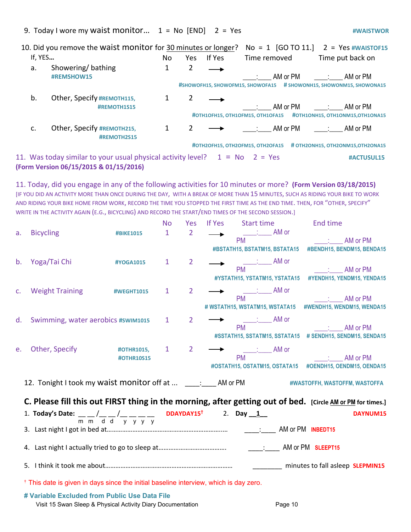| 10. Did you remove the waist monitor for 30 minutes or longer?        |                                                                                                                           |                      |                | $No = 1$ [GO TO 11.] | $2 = Yes$ #WAISTOF15             |                                   |
|-----------------------------------------------------------------------|---------------------------------------------------------------------------------------------------------------------------|----------------------|----------------|----------------------|----------------------------------|-----------------------------------|
| If, YES                                                               |                                                                                                                           | If Yes<br>No<br>Yes. |                | Time removed         | Time put back on                 |                                   |
| a.                                                                    | Showering/bathing<br>#REMSHOW15                                                                                           | 1                    | $\overline{2}$ |                      | : AM or PM                       | : AM or PM                        |
| # SHOWONH15, SHOWONM15, SHOWONA15<br>#SHOWOFH15, SHOWOFM15, SHOWOFA15 |                                                                                                                           |                      |                |                      |                                  |                                   |
| b.                                                                    | Other, Specify #REMOTH115,<br>#REMOTH1S15                                                                                 | 1                    |                |                      |                                  | : AM or PM : AM or PM             |
|                                                                       |                                                                                                                           |                      |                |                      | #OTH1OFH15, OTH1OFM15, OTH1OFA15 | #OTH1ONH15, OTH1ONM15, OTH1ONA15  |
| C.                                                                    | Other, Specify #REMOTH215,<br><b>#REMOTH2S15</b>                                                                          | $\mathbf{1}$         |                |                      | : AM or PM                       | : AM or PM                        |
|                                                                       |                                                                                                                           |                      |                |                      | #OTH2OFH15, OTH2OFM15, OTH2OFA15 | # OTH2ONH15, OTH2ONM15, OTH2ONA15 |
|                                                                       | 11. Was today similar to your usual physical activity level? $1 = No$ $2 = Yes$<br>(Form Version 06/15/2015 & 01/15/2016) |                      |                |                      |                                  | <b>#ACTUSUL15</b>                 |

11. Today, did you engage in any of the following activities for 10 minutes or more? **(Form Version 03/18/2015)** [IF YOU DID AN ACTIVITY MORE THAN ONCE DURING THE DAY, WITH A BREAK OF MORE THAN 15 MINUTES, SUCH AS RIDING YOUR BIKE TO WORK AND RIDING YOUR BIKE HOME FROM WORK, RECORD THE TIME YOU STOPPED THE FIRST TIME AS THE END TIME. THEN, FOR "OTHER, SPECIFY" WRITE IN THE ACTIVITY AGAIN (E.G., BICYCLING) AND RECORD THE START/END TIMES OF THE SECOND SESSION.]

|                |                                                                                                                            |                   | <b>No</b>    | Yes         | If Yes | <b>Start time</b>                                                                | <b>End time</b>                                                                                              |
|----------------|----------------------------------------------------------------------------------------------------------------------------|-------------------|--------------|-------------|--------|----------------------------------------------------------------------------------|--------------------------------------------------------------------------------------------------------------|
| a.             | <b>Bicycling</b>                                                                                                           | <b>#BIKE1015</b>  | $\mathbf{1}$ | $2^{\circ}$ |        | $\longrightarrow$ $\qquad \qquad \qquad$ AM or                                   |                                                                                                              |
|                |                                                                                                                            |                   |              |             |        |                                                                                  | $\overline{\phantom{a}}$ : AM or PM                                                                          |
|                |                                                                                                                            |                   |              |             |        |                                                                                  | #BSTATH15, BSTATM15, BSTATA15 #BENDH15, BENDM15, BENDA15                                                     |
|                | b. Yoga/Tai Chi                                                                                                            | #YOGA1015         | $\mathbf{1}$ | $2^{\circ}$ |        | ______:_____ AM or                                                               |                                                                                                              |
|                |                                                                                                                            |                   |              |             |        |                                                                                  |                                                                                                              |
|                |                                                                                                                            |                   |              |             |        |                                                                                  | #YSTATH15, YSTATM15, YSTATA15 #YENDH15, YENDM15, YENDA15                                                     |
| C <sub>1</sub> | <b>Weight Training</b>                                                                                                     | #WEGHT1015        | $\mathbf{1}$ | $2^{\circ}$ |        | $\longrightarrow$ $\qquad \qquad \qquad$ AM or                                   |                                                                                                              |
|                |                                                                                                                            |                   |              |             |        | <b>PM</b>                                                                        | <b>Example 2</b> SM or PM                                                                                    |
|                |                                                                                                                            |                   |              |             |        |                                                                                  | # WSTATH15, WSTATM15, WSTATA15 #WENDH15, WENDM15, WENDA15                                                    |
| d.             | Swimming, water aerobics #swim1015                                                                                         |                   | $\mathbf{1}$ | $2^{\circ}$ |        | $\longrightarrow$ $\qquad \qquad \qquad$ $\qquad \qquad$ $\longrightarrow$ AM or |                                                                                                              |
|                |                                                                                                                            |                   |              |             |        | <b>PM</b>                                                                        | $\frac{1}{2}$ : $\frac{1}{2}$ AM or PM                                                                       |
|                |                                                                                                                            |                   |              |             |        |                                                                                  | #SSTATH15, SSTATM15, SSTATA15 # SENDH15, SENDM15, SENDA15                                                    |
| e.             | Other, Specify                                                                                                             | #OTHR1015,        | $\mathbf{1}$ | $2^{\circ}$ |        | ______:_____ AM or                                                               |                                                                                                              |
|                |                                                                                                                            | <b>#OTHR10S15</b> |              |             |        | <b>PM</b>                                                                        | $\overline{\phantom{a}}$ : $\overline{\phantom{a}}$ AM or PM                                                 |
|                |                                                                                                                            |                   |              |             |        |                                                                                  | #OSTATH15, OSTATM15, OSTATA15 #OENDH15, OENDM15, OENDA15                                                     |
|                |                                                                                                                            |                   |              |             |        |                                                                                  | 12. Tonight I took my waist monitor off at  ____: _____ AM or PM _____________ #WASTOFFH, WASTOFFM, WASTOFFA |
|                |                                                                                                                            |                   |              |             |        |                                                                                  |                                                                                                              |
|                |                                                                                                                            |                   |              |             |        |                                                                                  | C. Please fill this out FIRST thing in the morning, after getting out of bed. [Circle AM or PM for times.]   |
|                |                                                                                                                            |                   |              |             |        |                                                                                  |                                                                                                              |
|                | 1. Today's Date: $\frac{1}{\text{m m}}\frac{1}{\text{d d}}\frac{1}{\text{d y}}\frac{1}{\text{y y}}$ bDAYDAY15 <sup>t</sup> |                   |              |             |        | 2. Day $1$                                                                       | DAYNUM15                                                                                                     |
|                |                                                                                                                            |                   |              |             |        |                                                                                  |                                                                                                              |
|                |                                                                                                                            |                   |              |             |        |                                                                                  |                                                                                                              |
|                |                                                                                                                            |                   |              |             |        |                                                                                  |                                                                                                              |
|                |                                                                                                                            |                   |              |             |        |                                                                                  |                                                                                                              |
|                |                                                                                                                            |                   |              |             |        |                                                                                  |                                                                                                              |
|                |                                                                                                                            |                   |              |             |        |                                                                                  |                                                                                                              |
|                | <sup>†</sup> This date is given in days since the initial baseline interview, which is day zero.                           |                   |              |             |        |                                                                                  |                                                                                                              |
|                | # Variable Excluded from Public Use Data File                                                                              |                   |              |             |        |                                                                                  |                                                                                                              |

Visit 15 Swan Sleep & Physical Activity Diary Documentation Page 10